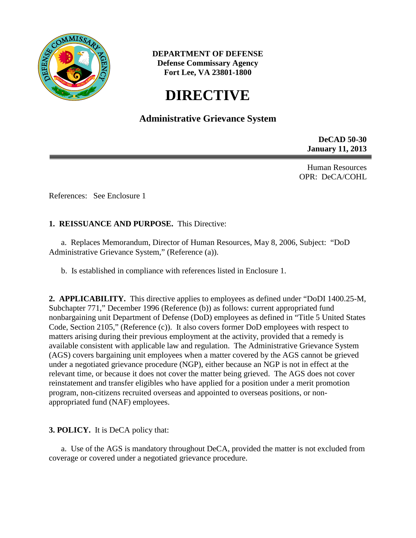

**DEPARTMENT OF DEFENSE Defense Commissary Agency Fort Lee, VA 23801-1800**

# **DIRECTIVE**

## **Administrative Grievance System**

**DeCAD 50-30 January 11, 2013**

Human Resources OPR: DeCA/COHL

References: See Enclosure 1

## **1. REISSUANCE AND PURPOSE.** This Directive:

a. Replaces Memorandum, Director of Human Resources, May 8, 2006, Subject: "DoD Administrative Grievance System," (Reference (a)).

b. Is established in compliance with references listed in Enclosure 1.

**2. APPLICABILITY.** This directive applies to employees as defined under "DoDI 1400.25-M, Subchapter 771," December 1996 (Reference (b)) as follows: current appropriated fund nonbargaining unit Department of Defense (DoD) employees as defined in "Title 5 United States Code, Section 2105," (Reference (c)). It also covers former DoD employees with respect to matters arising during their previous employment at the activity, provided that a remedy is available consistent with applicable law and regulation. The Administrative Grievance System (AGS) covers bargaining unit employees when a matter covered by the AGS cannot be grieved under a negotiated grievance procedure (NGP), either because an NGP is not in effect at the relevant time, or because it does not cover the matter being grieved. The AGS does not cover reinstatement and transfer eligibles who have applied for a position under a merit promotion program, non-citizens recruited overseas and appointed to overseas positions, or nonappropriated fund (NAF) employees.

#### **3. POLICY.** It is DeCA policy that:

a. Use of the AGS is mandatory throughout DeCA, provided the matter is not excluded from coverage or covered under a negotiated grievance procedure.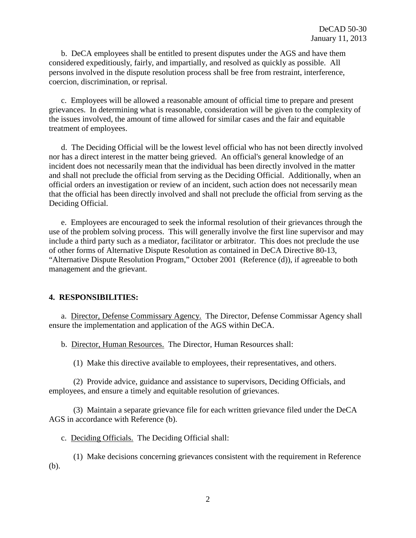b. DeCA employees shall be entitled to present disputes under the AGS and have them considered expeditiously, fairly, and impartially, and resolved as quickly as possible. All persons involved in the dispute resolution process shall be free from restraint, interference, coercion, discrimination, or reprisal.

c. Employees will be allowed a reasonable amount of official time to prepare and present grievances. In determining what is reasonable, consideration will be given to the complexity of the issues involved, the amount of time allowed for similar cases and the fair and equitable treatment of employees.

d. The Deciding Official will be the lowest level official who has not been directly involved nor has a direct interest in the matter being grieved. An official's general knowledge of an incident does not necessarily mean that the individual has been directly involved in the matter and shall not preclude the official from serving as the Deciding Official. Additionally, when an official orders an investigation or review of an incident, such action does not necessarily mean that the official has been directly involved and shall not preclude the official from serving as the Deciding Official.

e.Employees are encouraged to seek the informal resolution of their grievances through the use of the problem solving process. This will generally involve the first line supervisor and may include a third party such as a mediator, facilitator or arbitrator. This does not preclude the use of other forms of Alternative Dispute Resolution as contained in DeCA Directive 80-13, "Alternative Dispute Resolution Program," October 2001 (Reference (d)), if agreeable to both management and the grievant.

#### **4. RESPONSIBILITIES:**

a. Director, Defense Commissary Agency. The Director, Defense Commissar Agency shall ensure the implementation and application of the AGS within DeCA.

b. Director, Human Resources. The Director, Human Resources shall:

(1) Make this directive available to employees, their representatives, and others.

(2) Provide advice, guidance and assistance to supervisors, Deciding Officials, and employees, and ensure a timely and equitable resolution of grievances.

(3) Maintain a separate grievance file for each written grievance filed under the DeCA AGS in accordance with Reference (b).

c. Deciding Officials. The Deciding Official shall:

(1) Make decisions concerning grievances consistent with the requirement in Reference (b).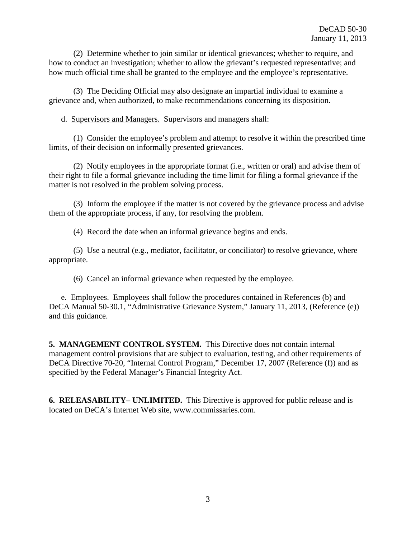(2) Determine whether to join similar or identical grievances; whether to require, and how to conduct an investigation; whether to allow the grievant's requested representative; and how much official time shall be granted to the employee and the employee's representative.

(3) The Deciding Official may also designate an impartial individual to examine a grievance and, when authorized, to make recommendations concerning its disposition.

d. Supervisors and Managers. Supervisors and managers shall:

(1) Consider the employee's problem and attempt to resolve it within the prescribed time limits, of their decision on informally presented grievances.

(2) Notify employees in the appropriate format (i.e., written or oral) and advise them of their right to file a formal grievance including the time limit for filing a formal grievance if the matter is not resolved in the problem solving process.

(3) Inform the employee if the matter is not covered by the grievance process and advise them of the appropriate process, if any, for resolving the problem.

(4) Record the date when an informal grievance begins and ends.

(5) Use a neutral (e.g., mediator, facilitator, or conciliator) to resolve grievance, where appropriate.

(6) Cancel an informal grievance when requested by the employee.

e. Employees. Employees shall follow the procedures contained in References (b) and DeCA Manual 50-30.1, "Administrative Grievance System," January 11, 2013, (Reference (e)) and this guidance.

**5. MANAGEMENT CONTROL SYSTEM.** This Directive does not contain internal management control provisions that are subject to evaluation, testing, and other requirements of DeCA Directive 70-20, "Internal Control Program," December 17, 2007 (Reference (f)) and as specified by the Federal Manager's Financial Integrity Act.

**6. RELEASABILITY– UNLIMITED.** This Directive is approved for public release and is located on DeCA's Internet Web site, www.commissaries.com.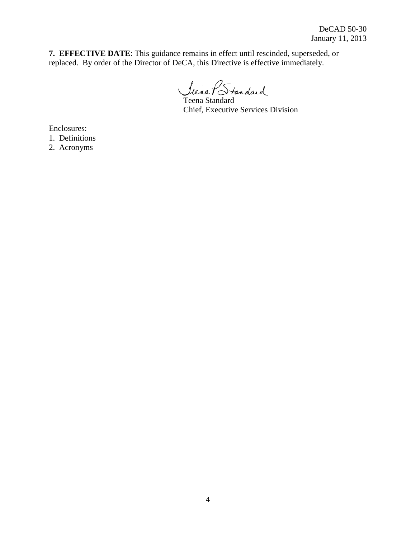**7. EFFECTIVE DATE**: This guidance remains in effect until rescinded, superseded, or replaced. By order of the Director of DeCA, this Directive is effective immediately.

Teena Standard

Chief, Executive Services Division

Enclosures:

1. Definitions

2. Acronyms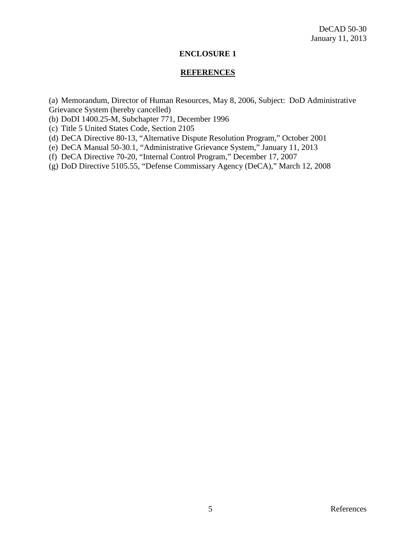#### **ENCLOSURE 1**

#### **REFERENCES**

(a) Memorandum, Director of Human Resources, May 8, 2006, Subject: DoD Administrative Grievance System (hereby cancelled)

- (b) DoDI 1400.25-M, Subchapter 771, December 1996
- (c) Title 5 United States Code, Section 2105
- (d) DeCA Directive 80-13, "Alternative Dispute Resolution Program," October 2001
- (e) DeCA Manual 50-30.1, "Administrative Grievance System," January 11, 2013
- (f) DeCA Directive 70-20, "Internal Control Program," December 17, 2007
- (g) DoD Directive 5105.55, "Defense Commissary Agency (DeCA)," March 12, 2008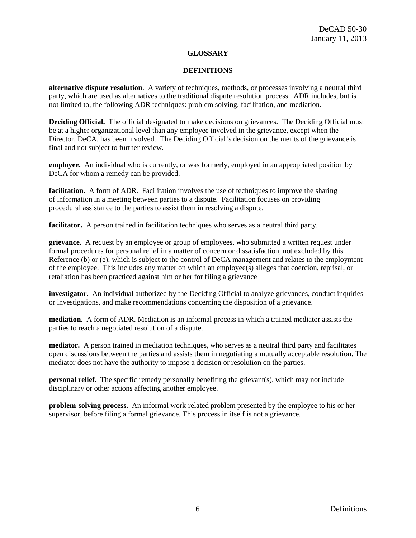#### **GLOSSARY**

#### **DEFINITIONS**

**alternative dispute resolution**. A variety of techniques, methods, or processes involving a neutral third party, which are used as alternatives to the traditional dispute resolution process. ADR includes, but is not limited to, the following ADR techniques: problem solving, facilitation, and mediation.

**Deciding Official.** The official designated to make decisions on grievances. The Deciding Official must be at a higher organizational level than any employee involved in the grievance, except when the Director, DeCA, has been involved. The Deciding Official's decision on the merits of the grievance is final and not subject to further review.

**employee.** An individual who is currently, or was formerly, employed in an appropriated position by DeCA for whom a remedy can be provided.

facilitation. A form of ADR. Facilitation involves the use of techniques to improve the sharing of information in a meeting between parties to a dispute. Facilitation focuses on providing procedural assistance to the parties to assist them in resolving a dispute.

**facilitator.** A person trained in facilitation techniques who serves as a neutral third party.

**grievance.** A request by an employee or group of employees, who submitted a written request under formal procedures for personal relief in a matter of concern or dissatisfaction, not excluded by this Reference (b) or (e), which is subject to the control of DeCA management and relates to the employment of the employee. This includes any matter on which an employee(s) alleges that coercion, reprisal, or retaliation has been practiced against him or her for filing a grievance

**investigator.** An individual authorized by the Deciding Official to analyze grievances, conduct inquiries or investigations, and make recommendations concerning the disposition of a grievance.

**mediation.** A form of ADR. Mediation is an informal process in which a trained mediator assists the parties to reach a negotiated resolution of a dispute.

**mediator.** A person trained in mediation techniques, who serves as a neutral third party and facilitates open discussions between the parties and assists them in negotiating a mutually acceptable resolution. The mediator does not have the authority to impose a decision or resolution on the parties.

**personal relief.** The specific remedy personally benefiting the grievant(s), which may not include disciplinary or other actions affecting another employee.

**problem-solving process.** An informal work-related problem presented by the employee to his or her supervisor, before filing a formal grievance. This process in itself is not a grievance.